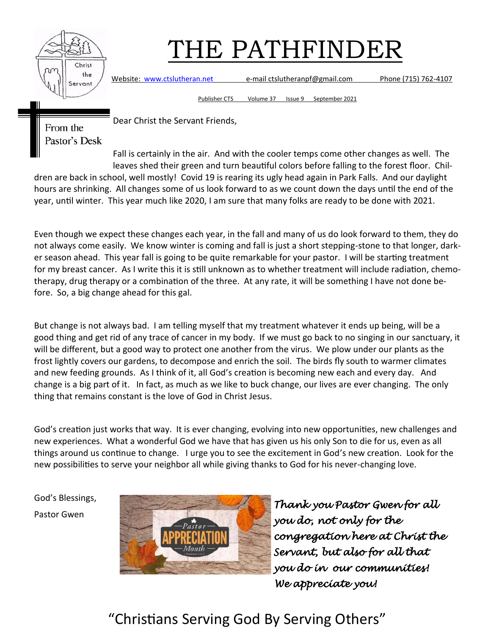

Website: [www.ctslutheran.net](http://www.ctslutheran.net/) e-mail ctslutheranpf@gmail.com Phone (715) 762-4107

Publisher CTS Volume 37 Issue 9 September 2021

From the Pastor's Desk Dear Christ the Servant Friends,

Fall is certainly in the air. And with the cooler temps come other changes as well. The leaves shed their green and turn beautiful colors before falling to the forest floor. Children are back in school, well mostly! Covid 19 is rearing its ugly head again in Park Falls. And our daylight hours are shrinking. All changes some of us look forward to as we count down the days until the end of the year, until winter. This year much like 2020, I am sure that many folks are ready to be done with 2021.

Even though we expect these changes each year, in the fall and many of us do look forward to them, they do not always come easily. We know winter is coming and fall is just a short stepping-stone to that longer, darker season ahead. This year fall is going to be quite remarkable for your pastor. I will be starting treatment for my breast cancer. As I write this it is still unknown as to whether treatment will include radiation, chemotherapy, drug therapy or a combination of the three. At any rate, it will be something I have not done before. So, a big change ahead for this gal.

But change is not always bad. I am telling myself that my treatment whatever it ends up being, will be a good thing and get rid of any trace of cancer in my body. If we must go back to no singing in our sanctuary, it will be different, but a good way to protect one another from the virus. We plow under our plants as the frost lightly covers our gardens, to decompose and enrich the soil. The birds fly south to warmer climates and new feeding grounds. As I think of it, all God's creation is becoming new each and every day. And change is a big part of it. In fact, as much as we like to buck change, our lives are ever changing. The only thing that remains constant is the love of God in Christ Jesus.

God's creation just works that way. It is ever changing, evolving into new opportunities, new challenges and new experiences. What a wonderful God we have that has given us his only Son to die for us, even as all things around us continue to change. I urge you to see the excitement in God's new creation. Look for the new possibilities to serve your neighbor all while giving thanks to God for his never-changing love.

God's Blessings, Pastor Gwen



*Thank you Pastor Gwen for all you do, not only for the congregation here at Christ the Servant, but also for all that you do in our communities! We appreciate you!*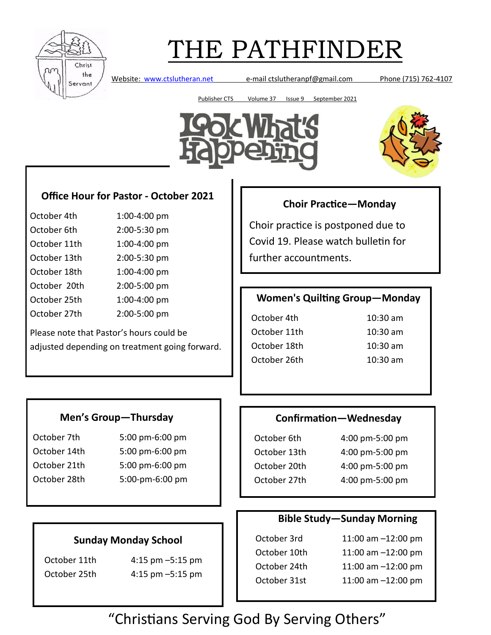

Website: [www.ctslutheran.net](http://www.ctslutheran.net/) e-mail ctslutheranpf@gmail.com Phone (715) 762-4107

Publisher CTS Volume 37 Issue 9 September 2021





## **Office Hour for Pastor - October 2021**

| October 4th  | 1:00-4:00 pm |
|--------------|--------------|
| October 6th  | 2:00-5:30 pm |
| October 11th | 1:00-4:00 pm |
| October 13th | 2:00-5:30 pm |
| October 18th | 1:00-4:00 pm |
| October 20th | 2:00-5:00 pm |
| October 25th | 1:00-4:00 pm |
| October 27th | 2:00-5:00 pm |

Please note that Pastor's hours could be adjusted depending on treatment going forward.

## **Choir Practice—Monday**

Choir practice is postponed due to Covid 19. Please watch bulletin for further accountments.

## **Women's Quilting Group—Monday**

October 4th 10:30 am October 11th 10:30 am October 18th 10:30 am October 26th 10:30 am

### **Men's Group—Thursday**

October 7th 5:00 pm-6:00 pm October 14th 5:00 pm-6:00 pm October 21th 5:00 pm-6:00 pm October 28th 5:00-pm-6:00 pm

### **Confirmation—Wednesday**

October 6th 4:00 pm-5:00 pm October 13th 4:00 pm-5:00 pm October 20th 4:00 pm-5:00 pm October 27th 4:00 pm-5:00 pm

### **Bible Study—Sunday Morning**

| October 3rd  | 11:00 am $-12:00$ pm |
|--------------|----------------------|
|              |                      |
| October 10th | 11:00 am $-12:00$ pm |
| October 24th | 11:00 am $-12:00$ pm |
| October 31st | 11:00 am $-12:00$ pm |

### **Sunday Monday School**

October 11th 4:15 pm –5:15 pm October 25th 4:15 pm –5:15 pm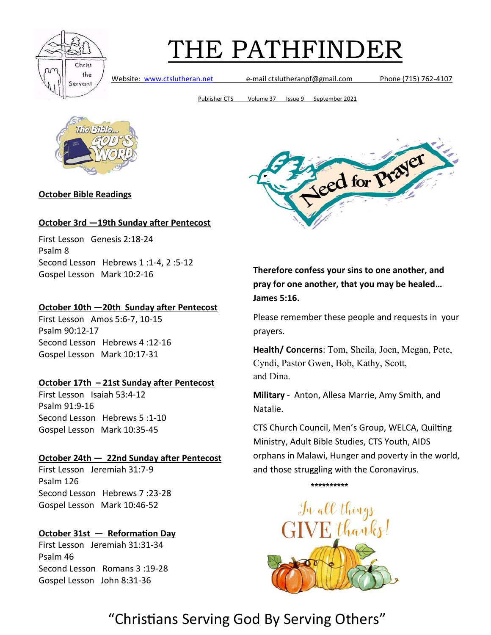

Website: [www.ctslutheran.net](http://www.ctslutheran.net/) e-mail ctslutheranpf@gmail.com Phone (715) 762-4107

Publisher CTS Volume 37 Issue 9 September 2021



**October Bible Readings**

#### **October 3rd —19th Sunday after Pentecost**

First Lesson Genesis 2:18-24 Psalm 8 Second Lesson Hebrews 1 :1-4, 2 :5-12 Gospel Lesson Mark 10:2-16

#### **October 10th —20th Sunday after Pentecost**

First Lesson Amos 5:6-7, 10-15 Psalm 90:12-17 Second Lesson Hebrews 4 :12-16 Gospel Lesson Mark 10:17-31

#### **October 17th – 21st Sunday after Pentecost**

First Lesson Isaiah 53:4-12 Psalm 91:9-16 Second Lesson Hebrews 5 :1-10 Gospel Lesson Mark 10:35-45

#### **October 24th — 22nd Sunday after Pentecost**

First Lesson Jeremiah 31:7-9 Psalm 126 Second Lesson Hebrews 7 :23-28 Gospel Lesson Mark 10:46-52

### **October 31st — Reformation Day**

First Lesson Jeremiah 31:31-34 Psalm 46 Second Lesson Romans 3 :19-28 Gospel Lesson John 8:31-36



**Therefore confess your sins to one another, and pray for one another, that you may be healed… James 5:16.**

Please remember these people and requests in your prayers.

**Health/ Concerns**: Tom, Sheila, Joen, Megan, Pete, Cyndi, Pastor Gwen, Bob, Kathy, Scott, and Dina.

**Military** - Anton, Allesa Marrie, Amy Smith, and Natalie.

CTS Church Council, Men's Group, WELCA, Quilting Ministry, Adult Bible Studies, CTS Youth, AIDS orphans in Malawi, Hunger and poverty in the world, and those struggling with the Coronavirus.

#### **\*\*\*\*\*\*\*\*\*\***

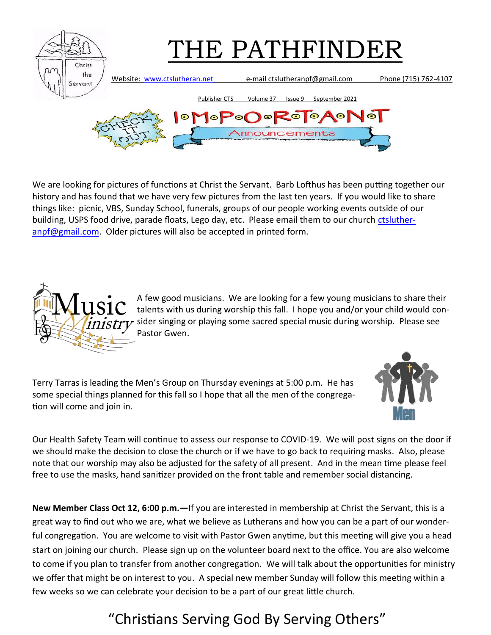

We are looking for pictures of functions at Christ the Servant. Barb Lofthus has been putting together our history and has found that we have very few pictures from the last ten years. If you would like to share things like: picnic, VBS, Sunday School, funerals, groups of our people working events outside of our building, USPS food drive, parade floats, Lego day, etc. Please email them to our church [ctsluther](mailto:ctslutheranpf@gmail.com)[anpf@gmail.com.](mailto:ctslutheranpf@gmail.com) Older pictures will also be accepted in printed form.



A few good musicians. We are looking for a few young musicians to share their talents with us during worship this fall. I hope you and/or your child would consider singing or playing some sacred special music during worship. Please see Pastor Gwen.

Terry Tarras is leading the Men's Group on Thursday evenings at 5:00 p.m. He has some special things planned for this fall so I hope that all the men of the congregation will come and join in.



Our Health Safety Team will continue to assess our response to COVID-19. We will post signs on the door if we should make the decision to close the church or if we have to go back to requiring masks. Also, please note that our worship may also be adjusted for the safety of all present. And in the mean time please feel free to use the masks, hand sanitizer provided on the front table and remember social distancing.

**New Member Class Oct 12, 6:00 p.m.—**If you are interested in membership at Christ the Servant, this is a great way to find out who we are, what we believe as Lutherans and how you can be a part of our wonderful congregation. You are welcome to visit with Pastor Gwen anytime, but this meeting will give you a head start on joining our church. Please sign up on the volunteer board next to the office. You are also welcome to come if you plan to transfer from another congregation. We will talk about the opportunities for ministry we offer that might be on interest to you. A special new member Sunday will follow this meeting within a few weeks so we can celebrate your decision to be a part of our great little church.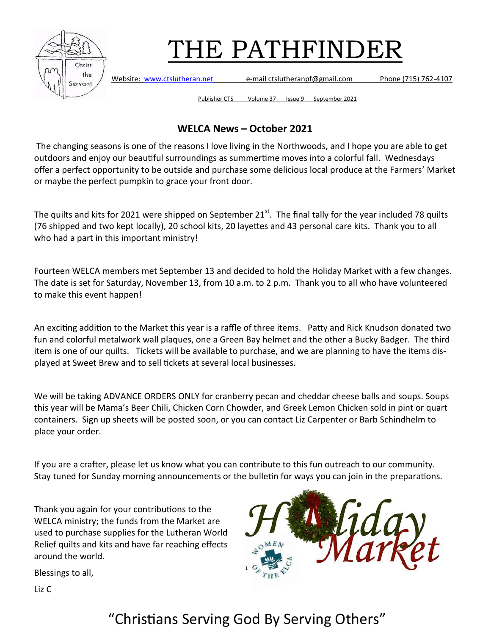

Website: [www.ctslutheran.net](http://www.ctslutheran.net/) e-mail ctslutheranpf@gmail.com Phone (715) 762-4107

Publisher CTS Volume 37 Issue 9 September 2021

## **WELCA News – October 2021**

The changing seasons is one of the reasons I love living in the Northwoods, and I hope you are able to get outdoors and enjoy our beautiful surroundings as summertime moves into a colorful fall. Wednesdays offer a perfect opportunity to be outside and purchase some delicious local produce at the Farmers' Market or maybe the perfect pumpkin to grace your front door.

The quilts and kits for 2021 were shipped on September  $21^{st}$ . The final tally for the year included 78 quilts (76 shipped and two kept locally), 20 school kits, 20 layettes and 43 personal care kits. Thank you to all who had a part in this important ministry!

Fourteen WELCA members met September 13 and decided to hold the Holiday Market with a few changes. The date is set for Saturday, November 13, from 10 a.m. to 2 p.m. Thank you to all who have volunteered to make this event happen!

An exciting addition to the Market this year is a raffle of three items. Patty and Rick Knudson donated two fun and colorful metalwork wall plaques, one a Green Bay helmet and the other a Bucky Badger. The third item is one of our quilts. Tickets will be available to purchase, and we are planning to have the items displayed at Sweet Brew and to sell tickets at several local businesses.

We will be taking ADVANCE ORDERS ONLY for cranberry pecan and cheddar cheese balls and soups. Soups this year will be Mama's Beer Chili, Chicken Corn Chowder, and Greek Lemon Chicken sold in pint or quart containers. Sign up sheets will be posted soon, or you can contact Liz Carpenter or Barb Schindhelm to place your order.

If you are a crafter, please let us know what you can contribute to this fun outreach to our community. Stay tuned for Sunday morning announcements or the bulletin for ways you can join in the preparations.

Thank you again for your contributions to the WELCA ministry; the funds from the Market are used to purchase supplies for the Lutheran World Relief quilts and kits and have far reaching effects around the world.



Blessings to all,

Liz C